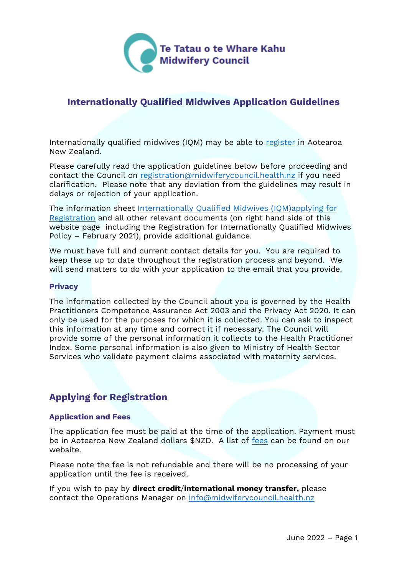

# **Internationally Qualified Midwives Application Guidelines**

Internationally qualified midwives (IQM) may be able to [register](https://www.midwiferycouncil.health.nz/Public/07.-I-want-to-be-a-midwife/3.-I-am-an-overseas-registered-midwife.aspx) in Aotearoa New Zealand.

Please carefully read the application guidelines below before proceeding and contact the Council on [registration@midwiferycouncil.health.nz](mailto:registration@midwiferycouncil.health.nz) if you need clarification. Please note that any deviation from the guidelines may result in delays or rejection of your application.

The information sheet [Internationally Qualified Midwives \(IQM\)applying for](https://www.midwiferycouncil.health.nz/Public/07.-I-want-to-be-a-midwife/3.-I-am-an-overseas-registered-midwife.aspx)  [Registration](https://www.midwiferycouncil.health.nz/Public/07.-I-want-to-be-a-midwife/3.-I-am-an-overseas-registered-midwife.aspx) and all other relevant documents (on right hand side of this website page including the Registration for Internationally Qualified Midwives Policy – February 2021), provide additional guidance.

We must have full and current contact details for you. You are required to keep these up to date throughout the registration process and beyond. We will send matters to do with your application to the email that you provide.

### **Privacy**

The information collected by the Council about you is governed by the Health Practitioners Competence Assurance Act 2003 and the Privacy Act 2020. It can only be used for the purposes for which it is collected. You can ask to inspect this information at any time and correct it if necessary. The Council will provide some of the personal information it collects to the Health Practitioner Index. Some personal information is also given to Ministry of Health Sector Services who validate payment claims associated with maternity services.

## **Applying for Registration**

### **Application and Fees**

The application fee must be paid at the time of the application. Payment must be in Aotearoa New Zealand dollars \$NZD. A list of [fees](https://www.midwiferycouncil.health.nz/Public/Public/07.-I-want-to-be-a-midwife-Aotearoa--New-Zealand/4.-Fees.aspx?hkey=663786cc-eeaa-4691-a91d-9a16fe640444) can be found on our website.

Please note the fee is not refundable and there will be no processing of your application until the fee is received.

If you wish to pay by **direct credit**/**international money transfer,** please contact the Operations Manager on [info@midwiferycouncil.health.nz](mailto:info@midwiferycouncil.health.nz)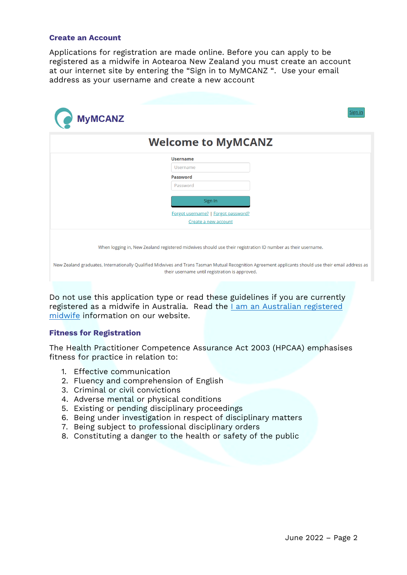#### **Create an Account**

Applications for registration are made online. Before you can apply to be registered as a midwife in Aotearoa New Zealand you must create an account at our internet site by entering the "Sign in to MyMCANZ ". Use your email address as your username and create a new account

| <b>MyMCANZ</b>                                                                                                                                                                                         | Sign in |
|--------------------------------------------------------------------------------------------------------------------------------------------------------------------------------------------------------|---------|
| <b>Welcome to MyMCANZ</b>                                                                                                                                                                              |         |
| <b>Username</b>                                                                                                                                                                                        |         |
| Username                                                                                                                                                                                               |         |
| <b>Password</b>                                                                                                                                                                                        |         |
| Password                                                                                                                                                                                               |         |
| Sign In<br>Forgot username?   Forgot password?                                                                                                                                                         |         |
| Create a new account                                                                                                                                                                                   |         |
| When logging in, New Zealand registered midwives should use their registration ID number as their username.                                                                                            |         |
| New Zealand graduates, Internationally Qualified Midwives and Trans Tasman Mutual Recognition Agreement applicants should use their email address as<br>their username until registration is approved. |         |

Do not use this application type or read these guidelines if you are currently registered as a midwife in Australia. Read the *Lam an Australian registered* [midwife](https://midwiferycouncil.health.nz/Public/07.-I-want-to-be-a-midwife-Aotearoa--New-Zealand/Trans-Tasman-Mutual-Recognition-Act.aspx) information on our website.

### **Fitness for Registration**

The Health Practitioner Competence Assurance Act 2003 (HPCAA) emphasises fitness for practice in relation to:

- 1. Effective communication
- 2. Fluency and comprehension of English
- 3. Criminal or civil convictions
- 4. Adverse mental or physical conditions
- 5. Existing or pending disciplinary proceedings
- 6. Being under investigation in respect of disciplinary matters
- 7. Being subject to professional disciplinary orders
- 8. Constituting a danger to the health or safety of the public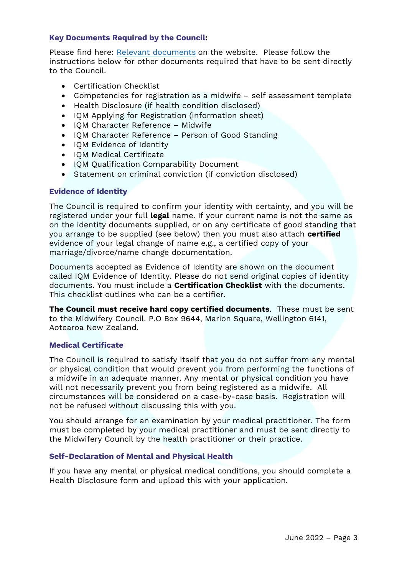### **Key Documents Required by the Council:**

Please find here: [Relevant documents](https://midwiferycouncil.health.nz/Public/07.-I-want-to-be-a-midwife/3.-I-am-an-overseas-registered-midwife.aspx) on the website. Please follow the instructions below for other documents required that have to be sent directly to the Council.

- Certification Checklist
- Competencies for registration as a midwife self assessment template
- Health Disclosure (if health condition disclosed)
- IQM Applying for Registration (information sheet)
- IQM Character Reference Midwife
- IQM Character Reference Person of Good Standing
- IQM Evidence of Identity
- IOM Medical Certificate
- IOM Oualification Comparability Document
- Statement on criminal conviction (if conviction disclosed)

### **Evidence of Identity**

The Council is required to confirm your identity with certainty, and you will be registered under your full **legal** name. If your current name is not the same as on the identity documents supplied, or on any certificate of good standing that you arrange to be supplied (see below) then you must also attach **certified**  evidence of your legal change of name e.g., a certified copy of your marriage/divorce/name change documentation.

Documents accepted as Evidence of Identity are shown on the document called IQM Evidence of Identity. Please do not send original copies of identity documents. You must include a **Certification Checklist** with the documents. This checklist outlines who can be a certifier.

**The Council must receive hard copy certified documents**. These must be sent to the Midwifery Council. P.O Box 9644, Marion Square, Wellington 6141, Aotearoa New Zealand.

### **Medical Certificate**

The Council is required to satisfy itself that you do not suffer from any mental or physical condition that would prevent you from performing the functions of a midwife in an adequate manner. Any mental or physical condition you have will not necessarily prevent you from being registered as a midwife. All circumstances will be considered on a case-by-case basis. Registration will not be refused without discussing this with you.

You should arrange for an examination by your medical practitioner. The form must be completed by your medical practitioner and must be sent directly to the Midwifery Council by the health practitioner or their practice.

### **Self-Declaration of Mental and Physical Health**

If you have any mental or physical medical conditions, you should complete a Health Disclosure form and upload this with your application.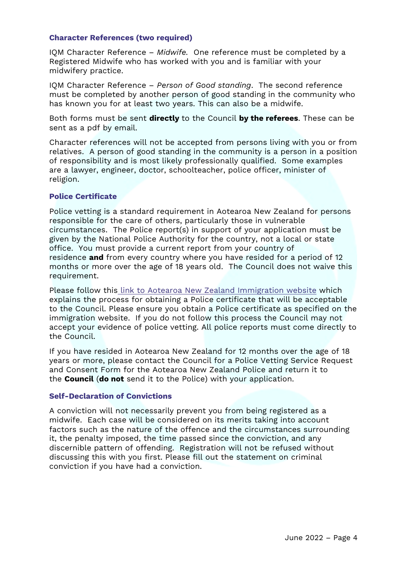### **Character References (two required)**

IQM Character Reference – *Midwife.* One reference must be completed by a Registered Midwife who has worked with you and is familiar with your midwifery practice.

IQM Character Reference – *Person of Good standing*. The second reference must be completed by another person of good standing in the community who has known you for at least two years. This can also be a midwife.

Both forms must be sent **directly** to the Council **by the referees**. These can be sent as a pdf by email.

Character references will not be accepted from persons living with you or from relatives. A person of good standing in the community is a person in a position of responsibility and is most likely professionally qualified. Some examples are a lawyer, engineer, doctor, schoolteacher, police officer, minister of religion.

### **Police Certificate**

Police vetting is a standard requirement in Aotearoa New Zealand for persons responsible for the care of others, particularly those in vulnerable circumstances. The Police report(s) in support of your application must be given by the National Police Authority for the country, not a local or state office. You must provide a current report from your country of residence **and** from every country where you have resided for a period of 12 months or more over the age of 18 years old. The Council does not waive this requirement.

Please follow thi[s link to Aotearoa New Zealand Immigration website](https://www.immigration.govt.nz/new-zealand-visas/apply-for-a-visa/tools-and-information/police-certificates) which explains the process for obtaining a Police certificate that will be acceptable to the Council. Please ensure you obtain a Police certificate as specified on the immigration website. If you do not follow this process the Council may not accept your evidence of police vetting. All police reports must come directly to the Council.

If you have resided in Aotearoa New Zealand for 12 months over the age of 18 years or more, please contact the Council for a Police Vetting Service Request and Consent Form for the Aotearoa New Zealand Police and return it to the **Council** (**do not** send it to the Police) with your application.

#### **Self-Declaration of Convictions**

A conviction will not necessarily prevent you from being registered as a midwife. Each case will be considered on its merits taking into account factors such as the nature of the offence and the circumstances surrounding it, the penalty imposed, the time passed since the conviction, and any discernible pattern of offending. Registration will not be refused without discussing this with you first. Please fill out the statement on criminal conviction if you have had a conviction.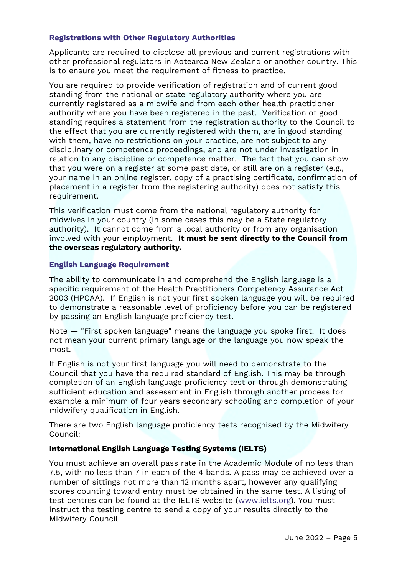### **Registrations with Other Regulatory Authorities**

Applicants are required to disclose all previous and current registrations with other professional regulators in Aotearoa New Zealand or another country. This is to ensure you meet the requirement of fitness to practice.

You are required to provide verification of registration and of current good standing from the national or state regulatory authority where you are currently registered as a midwife and from each other health practitioner authority where you have been registered in the past. Verification of good standing requires a statement from the registration authority to the Council to the effect that you are currently registered with them, are in good standing with them, have no restrictions on your practice, are not subject to any disciplinary or competence proceedings, and are not under investigation in relation to any discipline or competence matter. The fact that you can show that you were on a register at some past date, or still are on a register (e.g., your name in an online register, copy of a practising certificate, confirmation of placement in a register from the registering authority) does not satisfy this requirement.

This verification must come from the national regulatory authority for midwives in your country (in some cases this may be a State regulatory authority). It cannot come from a local authority or from any organisation involved with your employment. **It must be sent directly to the Council from the overseas regulatory authority.** 

### **English Language Requirement**

The ability to communicate in and comprehend the English language is a specific requirement of the Health Practitioners Competency Assurance Act 2003 (HPCAA). If English is not your first spoken language you will be required to demonstrate a reasonable level of proficiency before you can be registered by passing an English language proficiency test.

Note — "First spoken language" means the language you spoke first. It does not mean your current primary language or the language you now speak the most.

If English is not your first language you will need to demonstrate to the Council that you have the required standard of English. This may be through completion of an English language proficiency test or through demonstrating sufficient education and assessment in English through another process for example a minimum of four years secondary schooling and completion of your midwifery qualification in English.

There are two English language proficiency tests recognised by the Midwifery Council:

### **International English Language Testing Systems (IELTS)**

You must achieve an overall pass rate in the Academic Module of no less than 7.5, with no less than 7 in each of the 4 bands. A pass may be achieved over a number of sittings not more than 12 months apart, however any qualifying scores counting toward entry must be obtained in the same test. A listing of test centres can be found at the IELTS website [\(www.ielts.org\)](http://www.ielts.org/). You must instruct the testing centre to send a copy of your results directly to the Midwifery Council.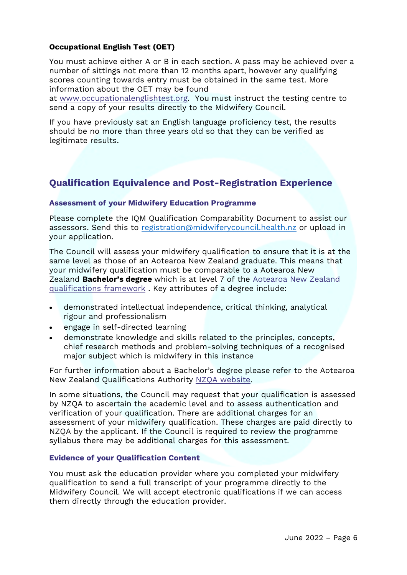### **Occupational English Test (OET)**

You must achieve either A or B in each section. A pass may be achieved over a number of sittings not more than 12 months apart, however any qualifying scores counting towards entry must be obtained in the same test. More information about the OET may be found

at [www.occupationalenglishtest.org.](http://www.occupationalenglishtest.org/) You must instruct the testing centre to send a copy of your results directly to the Midwifery Council.

If you have previously sat an English language proficiency test, the results should be no more than three years old so that they can be verified as legitimate results.

## **Qualification Equivalence and Post-Registration Experience**

### **Assessment of your Midwifery Education Programme**

Please complete the IQM Qualification Comparability Document to assist our assessors. Send this to [registration@midwiferycouncil.health.nz](mailto:registration@midwiferycouncil.health.nz) or upload in your application.

The Council will assess your midwifery qualification to ensure that it is at the same level as those of an Aotearoa New Zealand graduate. This means that your midwifery qualification must be comparable to a Aotearoa New Zealand **Bachelor's degree** which is at level 7 of the [Aotearoa New Zealand](https://www.nzqa.govt.nz/studying-in-new-zealand/understand-nz-quals/nzqf/)  [qualifications framework](https://www.nzqa.govt.nz/studying-in-new-zealand/understand-nz-quals/nzqf/) . Key attributes of a degree include:

- demonstrated intellectual independence, critical thinking, analytical rigour and professionalism
- engage in self-directed learning
- demonstrate knowledge and skills related to the principles, concepts, chief research methods and problem-solving techniques of a recognised major subject which is midwifery in this instance

For further information about a Bachelor's degree please refer to the Aotearoa New Zealand Qualifications Authority [NZQA website.](https://www.nzqa.govt.nz/studying-in-new-zealand/understand-nz-quals/)

In some situations, the Council may request that your qualification is assessed by NZQA to ascertain the academic level and to assess authentication and verification of your qualification. There are additional charges for an assessment of your midwifery qualification. These charges are paid directly to NZQA by the applicant. If the Council is required to review the programme syllabus there may be additional charges for this assessment.

### **Evidence of your Qualification Content**

You must ask the education provider where you completed your midwifery qualification to send a full transcript of your programme directly to the Midwifery Council. We will accept electronic qualifications if we can access them directly through the education provider.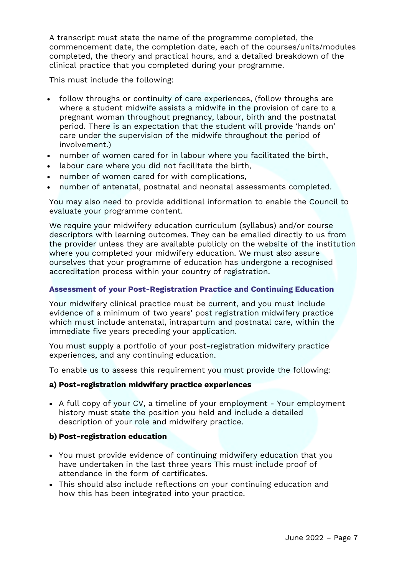A transcript must state the name of the programme completed, the commencement date, the completion date, each of the courses/units/modules completed, the theory and practical hours, and a detailed breakdown of the clinical practice that you completed during your programme.

This must include the following:

- follow throughs or continuity of care experiences, (follow throughs are where a student midwife assists a midwife in the provision of care to a pregnant woman throughout pregnancy, labour, birth and the postnatal period. There is an expectation that the student will provide 'hands on' care under the supervision of the midwife throughout the period of involvement.)
- number of women cared for in labour where you facilitated the birth,
- labour care where you did not facilitate the birth,
- number of women cared for with complications,
- number of antenatal, postnatal and neonatal assessments completed.

You may also need to provide additional information to enable the Council to evaluate your programme content.

We require your midwifery education curriculum (syllabus) and/or course descriptors with learning outcomes. They can be emailed directly to us from the provider unless they are available publicly on the website of the institution where you completed your midwifery education. We must also assure ourselves that your programme of education has undergone a recognised accreditation process within your country of registration.

### **Assessment of your Post-Registration Practice and Continuing Education**

Your midwifery clinical practice must be current, and you must include evidence of a minimum of two years' post registration midwifery practice which must include antenatal, intrapartum and postnatal care, within the immediate five years preceding your application.

You must supply a portfolio of your post-registration midwifery practice experiences, and any continuing education.

To enable us to assess this requirement you must provide the following:

### **a) Post-registration midwifery practice experiences**

 A full copy of your CV, a timeline of your employment - Your employment history must state the position you held and include a detailed description of your role and midwifery practice.

### **b) Post-registration education**

- You must provide evidence of continuing midwifery education that you have undertaken in the last three years This must include proof of attendance in the form of certificates.
- This should also include reflections on your continuing education and how this has been integrated into your practice.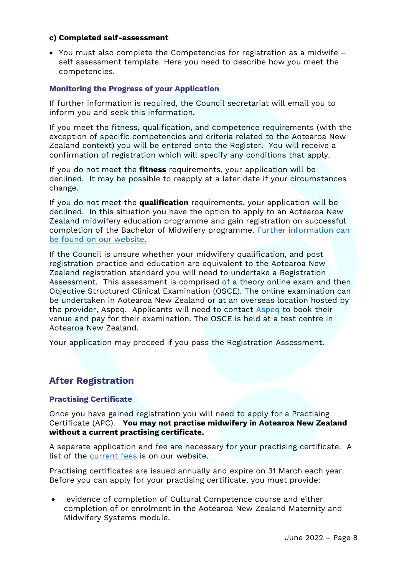### **c) Completed self-assessment**

 You must also complete the Competencies for registration as a midwife – self assessment template. Here you need to describe how you meet the competencies.

### **Monitoring the Progress of your Application**

If further information is required, the Council secretariat will email you to inform you and seek this information.

If you meet the fitness, qualification, and competence requirements (with the exception of specific competencies and criteria related to the Aotearoa New Zealand context) you will be entered onto the Register. You will receive a confirmation of registration which will specify any conditions that apply.

If you do not meet the **fitness** requirements, your application will be declined. It may be possible to reapply at a later date if your circumstances change.

If you do not meet the **qualification** requirements, your application will be declined. In this situation you have the option to apply to an Aotearoa New Zealand midwifery education programme and gain registration on successful completion of the Bachelor of Midwifery programme. [Further information can](https://www.midwiferycouncil.health.nz/Public/07.-I-want-to-be-a-midwife/1.-Midwifery-education-in-New-Zealand.aspx)  [be found on our website.](https://www.midwiferycouncil.health.nz/Public/07.-I-want-to-be-a-midwife/1.-Midwifery-education-in-New-Zealand.aspx)

If the Council is unsure whether your midwifery qualification, and post registration practice and education are equivalent to the Aotearoa New Zealand registration standard you will need to undertake a Registration Assessment. This assessment is comprised of a theory online exam and then Objective Structured Clinical Examination (OSCE). The online examination can be undertaken in Aotearoa New Zealand or at an overseas location hosted by the provider, Aspeq. Applicants will need to contact [Aspeq](https://www.aspeq.com/) to book their venue and pay for their examination. The OSCE is held at a test centre in Aotearoa New Zealand.

Your application may proceed if you pass the Registration Assessment.

## **After Registration**

### **Practising Certificate**

Once you have gained registration you will need to apply for a Practising Certificate (APC). **You may not practise midwifery in Aotearoa New Zealand without a current practising certificate.**

A separate application and fee are necessary for your practising certificate. A list of the [current fees](https://www.midwiferycouncil.health.nz/Public/Public/03.-Publications/Publications-Type-A/Gazette-notices.aspx?hkey=5f4b9847-6f7b-4021-b75d-e6a818e1b221) is on our website.

Practising certificates are issued annually and expire on 31 March each year. Before you can apply for your practising certificate, you must provide:

 evidence of completion of Cultural Competence course and either completion of or enrolment in the Aotearoa New Zealand Maternity and Midwifery Systems module.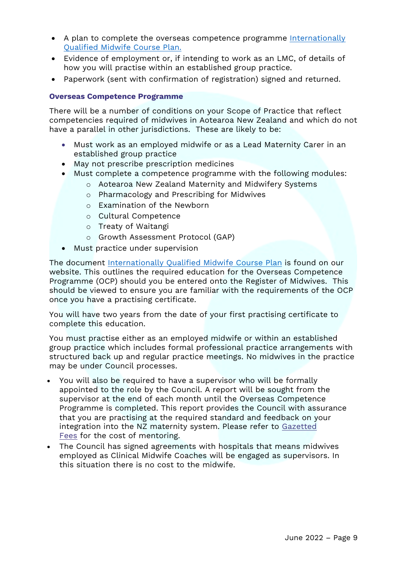- A plan to complete the overseas competence programme Internationally [Qualified Midwife Course Plan.](https://www.midwiferycouncil.health.nz/Public/06.-I-am-a-registered-midwife/Tools-and-Resources.aspx)
- Evidence of employment or, if intending to work as an LMC, of details of how you will practise within an established group practice.
- Paperwork (sent with confirmation of registration) signed and returned.

### **Overseas Competence Programme**

There will be a number of conditions on your Scope of Practice that reflect competencies required of midwives in Aotearoa New Zealand and which do not have a parallel in other jurisdictions. These are likely to be:

- Must work as an employed midwife or as a Lead Maternity Carer in an established group practice
- May not prescribe prescription medicines
- Must complete a competence programme with the following modules:
	- o Aotearoa New Zealand Maternity and Midwifery Systems
	- o Pharmacology and Prescribing for Midwives
	- o Examination of the Newborn
	- o Cultural Competence
	- o Treaty of Waitangi
	- o Growth Assessment Protocol (GAP)
- Must practice under supervision

The document [Internationally Qualified Midwife Course Plan](https://www.midwiferycouncil.health.nz/Public/06.-I-am-a-registered-midwife/Tools-and-Resources.aspx) is found on our website. This outlines the required education for the Overseas Competence Programme (OCP) should you be entered onto the Register of Midwives. This should be viewed to ensure you are familiar with the requirements of the OCP once you have a practising certificate.

You will have two years from the date of your first practising certificate to complete this education.

You must practise either as an employed midwife or within an established group practice which includes formal professional practice arrangements with structured back up and regular practice meetings. No midwives in the practice may be under Council processes.

- You will also be required to have a supervisor who will be formally appointed to the role by the Council. A report will be sought from the supervisor at the end of each month until the Overseas Competence Programme is completed. This report provides the Council with assurance that you are practising at the required standard and feedback on your integration into the NZ maternity system. Please refer to [Gazetted](https://www.midwiferycouncil.health.nz/about-us/publications/midwifery-council-fees-notice-2018)  [Fees](https://www.midwiferycouncil.health.nz/about-us/publications/midwifery-council-fees-notice-2018) for the cost of mentoring.
- The Council has signed agreements with hospitals that means midwives employed as Clinical Midwife Coaches will be engaged as supervisors. In this situation there is no cost to the midwife.